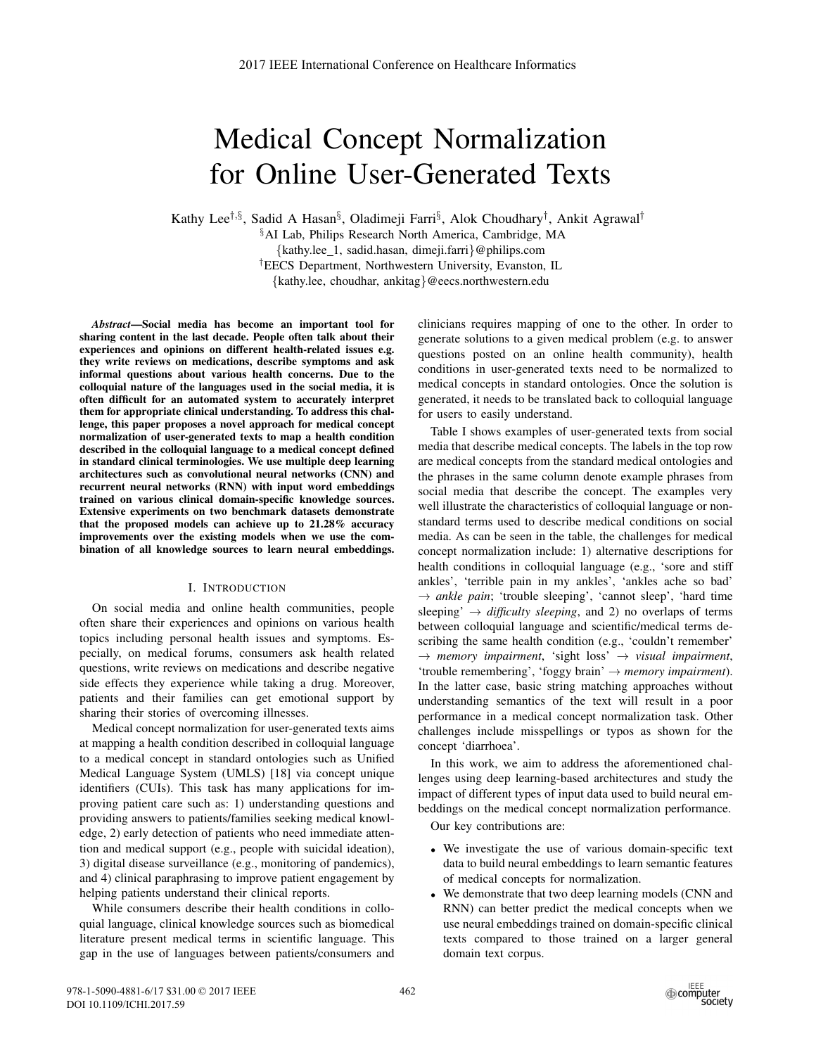# Medical Concept Normalization for Online User-Generated Texts

Kathy Lee<sup>†,§</sup>, Sadid A Hasan<sup>§</sup>, Oladimeji Farri<sup>§</sup>, Alok Choudhary<sup>†</sup>, Ankit Agrawal<sup>†</sup>

§AI Lab, Philips Research North America, Cambridge, MA

{kathy.lee 1, sadid.hasan, dimeji.farri}@philips.com

†EECS Department, Northwestern University, Evanston, IL

{kathy.lee, choudhar, ankitag}@eecs.northwestern.edu

*Abstract*—Social media has become an important tool for sharing content in the last decade. People often talk about their experiences and opinions on different health-related issues e.g. they write reviews on medications, describe symptoms and ask informal questions about various health concerns. Due to the colloquial nature of the languages used in the social media, it is often difficult for an automated system to accurately interpret them for appropriate clinical understanding. To address this challenge, this paper proposes a novel approach for medical concept normalization of user-generated texts to map a health condition described in the colloquial language to a medical concept defined in standard clinical terminologies. We use multiple deep learning architectures such as convolutional neural networks (CNN) and recurrent neural networks (RNN) with input word embeddings trained on various clinical domain-specific knowledge sources. Extensive experiments on two benchmark datasets demonstrate that the proposed models can achieve up to 21.28% accuracy improvements over the existing models when we use the combination of all knowledge sources to learn neural embeddings.

# I. INTRODUCTION

On social media and online health communities, people often share their experiences and opinions on various health topics including personal health issues and symptoms. Especially, on medical forums, consumers ask health related questions, write reviews on medications and describe negative side effects they experience while taking a drug. Moreover, patients and their families can get emotional support by sharing their stories of overcoming illnesses.

Medical concept normalization for user-generated texts aims at mapping a health condition described in colloquial language to a medical concept in standard ontologies such as Unified Medical Language System (UMLS) [18] via concept unique identifiers (CUIs). This task has many applications for improving patient care such as: 1) understanding questions and providing answers to patients/families seeking medical knowledge, 2) early detection of patients who need immediate attention and medical support (e.g., people with suicidal ideation), 3) digital disease surveillance (e.g., monitoring of pandemics), and 4) clinical paraphrasing to improve patient engagement by helping patients understand their clinical reports.

While consumers describe their health conditions in colloquial language, clinical knowledge sources such as biomedical literature present medical terms in scientific language. This gap in the use of languages between patients/consumers and clinicians requires mapping of one to the other. In order to generate solutions to a given medical problem (e.g. to answer questions posted on an online health community), health conditions in user-generated texts need to be normalized to medical concepts in standard ontologies. Once the solution is generated, it needs to be translated back to colloquial language for users to easily understand.

Table I shows examples of user-generated texts from social media that describe medical concepts. The labels in the top row are medical concepts from the standard medical ontologies and the phrases in the same column denote example phrases from social media that describe the concept. The examples very well illustrate the characteristics of colloquial language or nonstandard terms used to describe medical conditions on social media. As can be seen in the table, the challenges for medical concept normalization include: 1) alternative descriptions for health conditions in colloquial language (e.g., 'sore and stiff ankles', 'terrible pain in my ankles', 'ankles ache so bad'  $\rightarrow$  *ankle pain*; 'trouble sleeping', 'cannot sleep', 'hard time sleeping'  $\rightarrow$  *difficulty sleeping*, and 2) no overlaps of terms between colloquial language and scientific/medical terms describing the same health condition (e.g., 'couldn't remember'  $\rightarrow$  *memory impairment*, 'sight loss'  $\rightarrow$  *visual impairment*, 'trouble remembering', 'foggy brain' → *memory impairment*). In the latter case, basic string matching approaches without understanding semantics of the text will result in a poor performance in a medical concept normalization task. Other challenges include misspellings or typos as shown for the concept 'diarrhoea'.

In this work, we aim to address the aforementioned challenges using deep learning-based architectures and study the impact of different types of input data used to build neural embeddings on the medical concept normalization performance.

Our key contributions are:

- We investigate the use of various domain-specific text data to build neural embeddings to learn semantic features of medical concepts for normalization.
- We demonstrate that two deep learning models (CNN and RNN) can better predict the medical concepts when we use neural embeddings trained on domain-specific clinical texts compared to those trained on a larger general domain text corpus.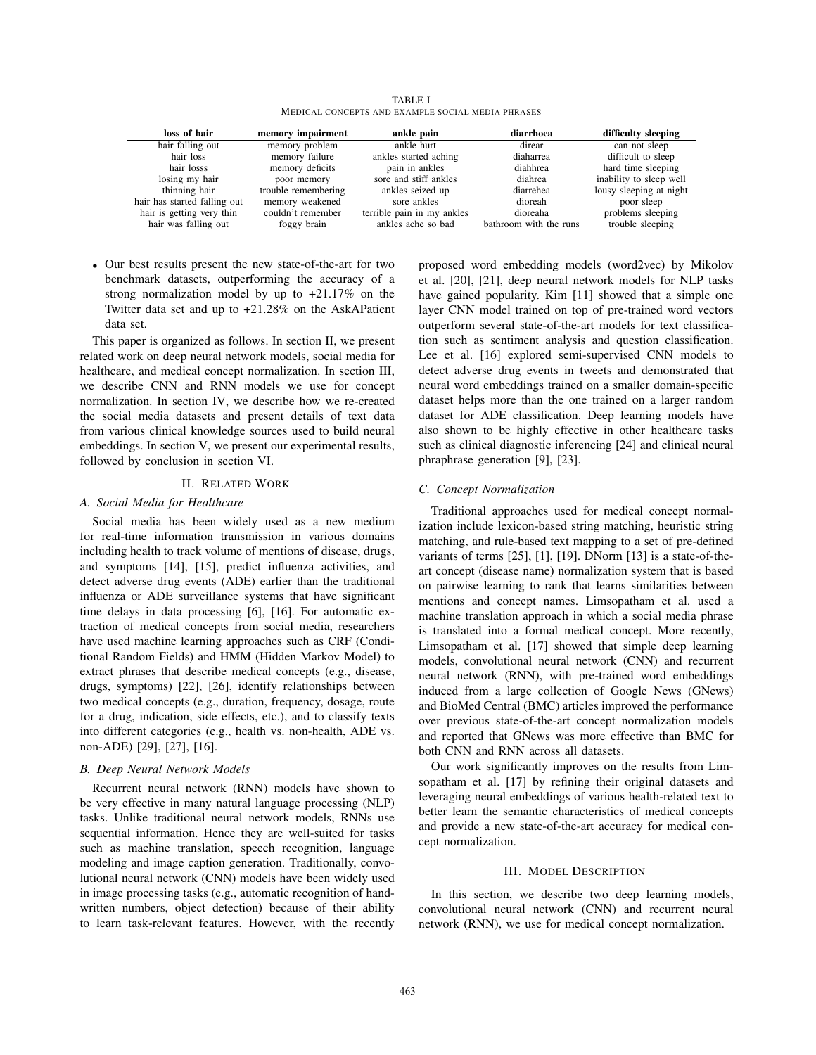TABLE I MEDICAL CONCEPTS AND EXAMPLE SOCIAL MEDIA PHRASES

| loss of hair                 | memory impairment   | ankle pain                 | diarrhoea              | difficulty sleeping     |
|------------------------------|---------------------|----------------------------|------------------------|-------------------------|
| hair falling out             | memory problem      | ankle hurt                 | direar                 | can not sleep           |
| hair loss                    | memory failure      | ankles started aching      | diaharrea              | difficult to sleep      |
| hair losss                   | memory deficits     | pain in ankles             | diahhrea               | hard time sleeping      |
| losing my hair               | poor memory         | sore and stiff ankles      | diahrea                | inability to sleep well |
| thinning hair                | trouble remembering | ankles seized up           | diarrehea              | lousy sleeping at night |
| hair has started falling out | memory weakened     | sore ankles                | dioreah                | poor sleep              |
| hair is getting very thin    | couldn't remember   | terrible pain in my ankles | dioreaha               | problems sleeping       |
| hair was falling out         | foggy brain         | ankles ache so bad         | bathroom with the runs | trouble sleeping        |

• Our best results present the new state-of-the-art for two benchmark datasets, outperforming the accuracy of a strong normalization model by up to +21.17% on the Twitter data set and up to +21.28% on the AskAPatient data set.

This paper is organized as follows. In section II, we present related work on deep neural network models, social media for healthcare, and medical concept normalization. In section III, we describe CNN and RNN models we use for concept normalization. In section IV, we describe how we re-created the social media datasets and present details of text data from various clinical knowledge sources used to build neural embeddings. In section V, we present our experimental results, followed by conclusion in section VI.

## II. RELATED WORK

## *A. Social Media for Healthcare*

Social media has been widely used as a new medium for real-time information transmission in various domains including health to track volume of mentions of disease, drugs, and symptoms [14], [15], predict influenza activities, and detect adverse drug events (ADE) earlier than the traditional influenza or ADE surveillance systems that have significant time delays in data processing [6], [16]. For automatic extraction of medical concepts from social media, researchers have used machine learning approaches such as CRF (Conditional Random Fields) and HMM (Hidden Markov Model) to extract phrases that describe medical concepts (e.g., disease, drugs, symptoms) [22], [26], identify relationships between two medical concepts (e.g., duration, frequency, dosage, route for a drug, indication, side effects, etc.), and to classify texts into different categories (e.g., health vs. non-health, ADE vs. non-ADE) [29], [27], [16].

#### *B. Deep Neural Network Models*

Recurrent neural network (RNN) models have shown to be very effective in many natural language processing (NLP) tasks. Unlike traditional neural network models, RNNs use sequential information. Hence they are well-suited for tasks such as machine translation, speech recognition, language modeling and image caption generation. Traditionally, convolutional neural network (CNN) models have been widely used in image processing tasks (e.g., automatic recognition of handwritten numbers, object detection) because of their ability to learn task-relevant features. However, with the recently

proposed word embedding models (word2vec) by Mikolov et al. [20], [21], deep neural network models for NLP tasks have gained popularity. Kim [11] showed that a simple one layer CNN model trained on top of pre-trained word vectors outperform several state-of-the-art models for text classification such as sentiment analysis and question classification. Lee et al. [16] explored semi-supervised CNN models to detect adverse drug events in tweets and demonstrated that neural word embeddings trained on a smaller domain-specific dataset helps more than the one trained on a larger random dataset for ADE classification. Deep learning models have also shown to be highly effective in other healthcare tasks such as clinical diagnostic inferencing [24] and clinical neural phraphrase generation [9], [23].

## *C. Concept Normalization*

Traditional approaches used for medical concept normalization include lexicon-based string matching, heuristic string matching, and rule-based text mapping to a set of pre-defined variants of terms [25], [1], [19]. DNorm [13] is a state-of-theart concept (disease name) normalization system that is based on pairwise learning to rank that learns similarities between mentions and concept names. Limsopatham et al. used a machine translation approach in which a social media phrase is translated into a formal medical concept. More recently, Limsopatham et al. [17] showed that simple deep learning models, convolutional neural network (CNN) and recurrent neural network (RNN), with pre-trained word embeddings induced from a large collection of Google News (GNews) and BioMed Central (BMC) articles improved the performance over previous state-of-the-art concept normalization models and reported that GNews was more effective than BMC for both CNN and RNN across all datasets.

Our work significantly improves on the results from Limsopatham et al. [17] by refining their original datasets and leveraging neural embeddings of various health-related text to better learn the semantic characteristics of medical concepts and provide a new state-of-the-art accuracy for medical concept normalization.

## III. MODEL DESCRIPTION

In this section, we describe two deep learning models, convolutional neural network (CNN) and recurrent neural network (RNN), we use for medical concept normalization.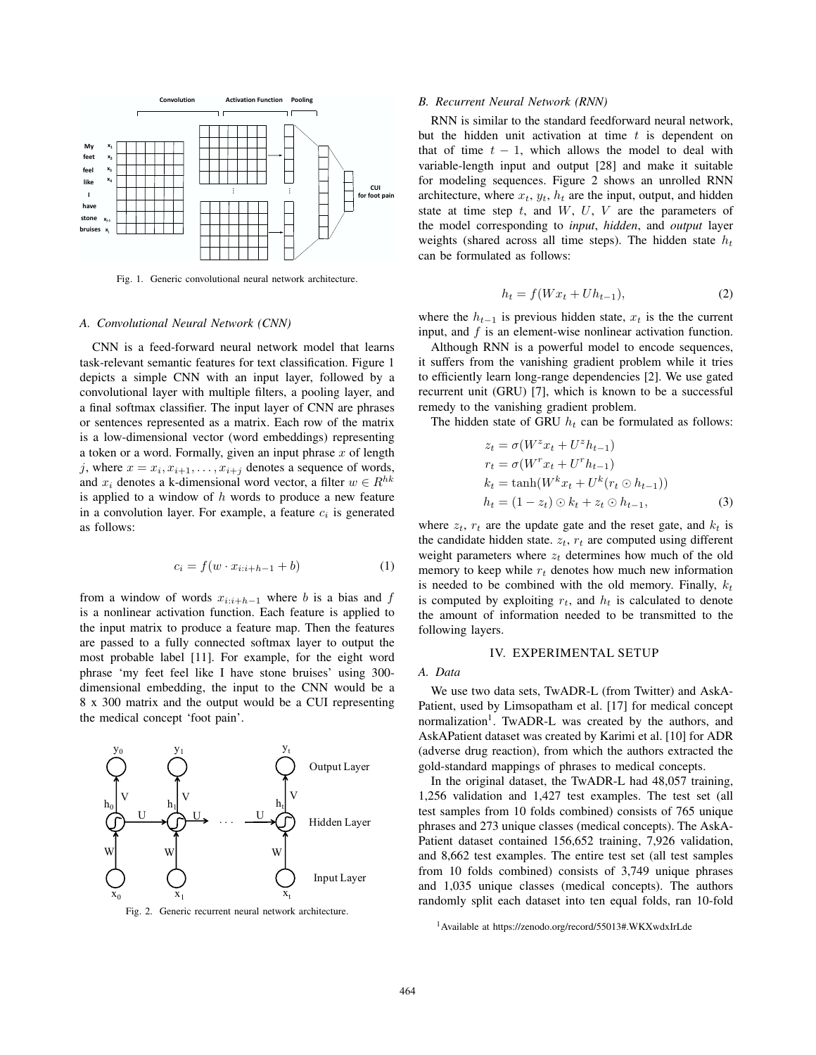

Fig. 1. Generic convolutional neural network architecture.

#### *A. Convolutional Neural Network (CNN)*

CNN is a feed-forward neural network model that learns task-relevant semantic features for text classification. Figure 1 depicts a simple CNN with an input layer, followed by a convolutional layer with multiple filters, a pooling layer, and a final softmax classifier. The input layer of CNN are phrases or sentences represented as a matrix. Each row of the matrix is a low-dimensional vector (word embeddings) representing a token or a word. Formally, given an input phrase  $x$  of length j, where  $x = x_i, x_{i+1}, \ldots, x_{i+j}$  denotes a sequence of words, and  $x_i$  denotes a k-dimensional word vector, a filter  $w \in R^{hk}$ is applied to a window of  $h$  words to produce a new feature in a convolution layer. For example, a feature  $c_i$  is generated as follows:

$$
c_i = f(w \cdot x_{i:i+h-1} + b) \tag{1}
$$

from a window of words  $x_{i:i+h-1}$  where b is a bias and f is a nonlinear activation function. Each feature is applied to the input matrix to produce a feature map. Then the features are passed to a fully connected softmax layer to output the most probable label [11]. For example, for the eight word phrase 'my feet feel like I have stone bruises' using 300 dimensional embedding, the input to the CNN would be a 8 x 300 matrix and the output would be a CUI representing the medical concept 'foot pain'.



Fig. 2. Generic recurrent neural network architecture.

## *B. Recurrent Neural Network (RNN)*

RNN is similar to the standard feedforward neural network, but the hidden unit activation at time  $t$  is dependent on that of time  $t - 1$ , which allows the model to deal with variable-length input and output [28] and make it suitable for modeling sequences. Figure 2 shows an unrolled RNN architecture, where  $x_t$ ,  $y_t$ ,  $h_t$  are the input, output, and hidden state at time step  $t$ , and  $W$ ,  $U$ ,  $V$  are the parameters of the model corresponding to *input*, *hidden*, and *output* layer weights (shared across all time steps). The hidden state  $h_t$ can be formulated as follows:

$$
h_t = f(Wx_t + Uh_{t-1}),\tag{2}
$$

where the  $h_{t-1}$  is previous hidden state,  $x_t$  is the the current input, and  $f$  is an element-wise nonlinear activation function.

Although RNN is a powerful model to encode sequences, it suffers from the vanishing gradient problem while it tries to efficiently learn long-range dependencies [2]. We use gated recurrent unit (GRU) [7], which is known to be a successful remedy to the vanishing gradient problem.

The hidden state of GRU  $h_t$  can be formulated as follows:

$$
z_t = \sigma(W^z x_t + U^z h_{t-1})
$$
  
\n
$$
r_t = \sigma(W^r x_t + U^r h_{t-1})
$$
  
\n
$$
k_t = \tanh(W^k x_t + U^k (r_t \odot h_{t-1}))
$$
  
\n
$$
h_t = (1 - z_t) \odot k_t + z_t \odot h_{t-1},
$$
\n(3)

where  $z_t$ ,  $r_t$  are the update gate and the reset gate, and  $k_t$  is the candidate hidden state.  $z_t$ ,  $r_t$  are computed using different weight parameters where  $z_t$  determines how much of the old memory to keep while  $r_t$  denotes how much new information is needed to be combined with the old memory. Finally,  $k_t$ is computed by exploiting  $r_t$ , and  $h_t$  is calculated to denote the amount of information needed to be transmitted to the following layers.

#### IV. EXPERIMENTAL SETUP

## *A. Data*

We use two data sets, TwADR-L (from Twitter) and AskA-Patient, used by Limsopatham et al. [17] for medical concept normalization<sup>1</sup>. TwADR-L was created by the authors, and AskAPatient dataset was created by Karimi et al. [10] for ADR (adverse drug reaction), from which the authors extracted the gold-standard mappings of phrases to medical concepts.

In the original dataset, the TwADR-L had 48,057 training, 1,256 validation and 1,427 test examples. The test set (all test samples from 10 folds combined) consists of 765 unique phrases and 273 unique classes (medical concepts). The AskA-Patient dataset contained 156,652 training, 7,926 validation, and 8,662 test examples. The entire test set (all test samples from 10 folds combined) consists of 3,749 unique phrases and 1,035 unique classes (medical concepts). The authors randomly split each dataset into ten equal folds, ran 10-fold

<sup>1</sup>Available at https://zenodo.org/record/55013#.WKXwdxIrLde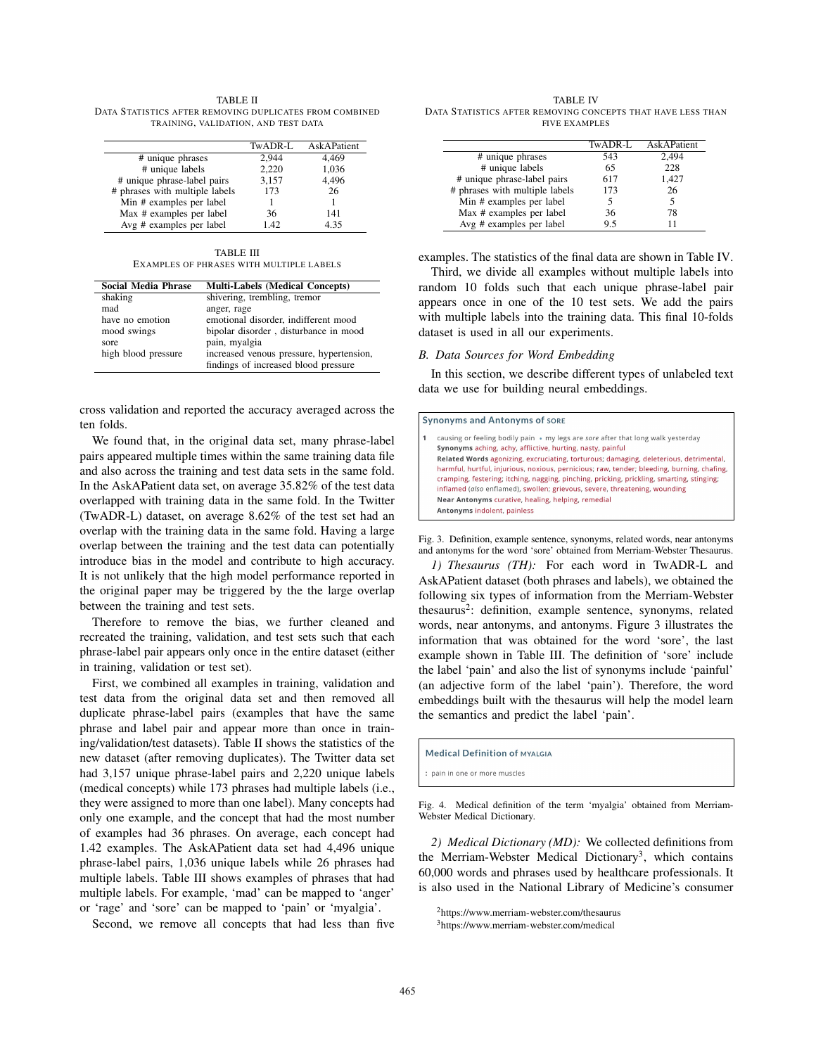TABLE II DATA STATISTICS AFTER REMOVING DUPLICATES FROM COMBINED TRAINING, VALIDATION, AND TEST DATA

|                                | TwADR-L | AskAPatient |
|--------------------------------|---------|-------------|
| # unique phrases               | 2.944   | 4.469       |
| # unique labels                | 2.220   | 1,036       |
| # unique phrase-label pairs    | 3,157   | 4,496       |
| # phrases with multiple labels | 173     | 26          |
| Min # examples per label       |         |             |
| Max # examples per label       | 36      | 141         |
| Avg # examples per label       | 142     | 435         |

TABLE III EXAMPLES OF PHRASES WITH MULTIPLE LABELS

| <b>Social Media Phrase</b> | <b>Multi-Labels (Medical Concepts)</b>                                           |
|----------------------------|----------------------------------------------------------------------------------|
| shaking                    | shivering, trembling, tremor                                                     |
| mad                        | anger, rage                                                                      |
| have no emotion            | emotional disorder, indifferent mood                                             |
| mood swings                | bipolar disorder, disturbance in mood                                            |
| sore                       | pain, myalgia                                                                    |
| high blood pressure        | increased venous pressure, hypertension,<br>findings of increased blood pressure |

cross validation and reported the accuracy averaged across the ten folds.

We found that, in the original data set, many phrase-label pairs appeared multiple times within the same training data file and also across the training and test data sets in the same fold. In the AskAPatient data set, on average 35.82% of the test data overlapped with training data in the same fold. In the Twitter (TwADR-L) dataset, on average 8.62% of the test set had an overlap with the training data in the same fold. Having a large overlap between the training and the test data can potentially introduce bias in the model and contribute to high accuracy. It is not unlikely that the high model performance reported in the original paper may be triggered by the the large overlap between the training and test sets.

Therefore to remove the bias, we further cleaned and recreated the training, validation, and test sets such that each phrase-label pair appears only once in the entire dataset (either in training, validation or test set).

First, we combined all examples in training, validation and test data from the original data set and then removed all duplicate phrase-label pairs (examples that have the same phrase and label pair and appear more than once in training/validation/test datasets). Table II shows the statistics of the new dataset (after removing duplicates). The Twitter data set had 3,157 unique phrase-label pairs and 2,220 unique labels (medical concepts) while 173 phrases had multiple labels (i.e., they were assigned to more than one label). Many concepts had only one example, and the concept that had the most number of examples had 36 phrases. On average, each concept had 1.42 examples. The AskAPatient data set had 4,496 unique phrase-label pairs, 1,036 unique labels while 26 phrases had multiple labels. Table III shows examples of phrases that had multiple labels. For example, 'mad' can be mapped to 'anger' or 'rage' and 'sore' can be mapped to 'pain' or 'myalgia'.

Second, we remove all concepts that had less than five

TABLE IV DATA STATISTICS AFTER REMOVING CONCEPTS THAT HAVE LESS THAN FIVE EXAMPLES

|                                | TwADR-L | AskAPatient |
|--------------------------------|---------|-------------|
| # unique phrases               | 543     | 2,494       |
| # unique labels                | 65      | 228         |
| # unique phrase-label pairs    | 617     | 1,427       |
| # phrases with multiple labels | 173     | 26          |
| Min # examples per label       |         | 5           |
| Max # examples per label       | 36      | 78          |
| Avg # examples per label       | 9.5     |             |
|                                |         |             |

examples. The statistics of the final data are shown in Table IV.

Third, we divide all examples without multiple labels into random 10 folds such that each unique phrase-label pair appears once in one of the 10 test sets. We add the pairs with multiple labels into the training data. This final 10-folds dataset is used in all our experiments.

#### *B. Data Sources for Word Embedding*

In this section, we describe different types of unlabeled text data we use for building neural embeddings.

#### Synonyms and Antonyms of sore



Fig. 3. Definition, example sentence, synonyms, related words, near antonyms and antonyms for the word 'sore' obtained from Merriam-Webster Thesaurus.

*1) Thesaurus (TH):* For each word in TwADR-L and AskAPatient dataset (both phrases and labels), we obtained the following six types of information from the Merriam-Webster thesaurus<sup>2</sup>: definition, example sentence, synonyms, related words, near antonyms, and antonyms. Figure 3 illustrates the information that was obtained for the word 'sore', the last example shown in Table III. The definition of 'sore' include the label 'pain' and also the list of synonyms include 'painful' (an adjective form of the label 'pain'). Therefore, the word embeddings built with the thesaurus will help the model learn the semantics and predict the label 'pain'.

#### Medical Definition of MYALGIA

: pain in one or more muscles

Fig. 4. Medical definition of the term 'myalgia' obtained from Merriam-Webster Medical Dictionary.

*2) Medical Dictionary (MD):* We collected definitions from the Merriam-Webster Medical Dictionary<sup>3</sup>, which contains 60,000 words and phrases used by healthcare professionals. It is also used in the National Library of Medicine's consumer

<sup>2</sup>https://www.merriam-webster.com/thesaurus

<sup>3</sup>https://www.merriam-webster.com/medical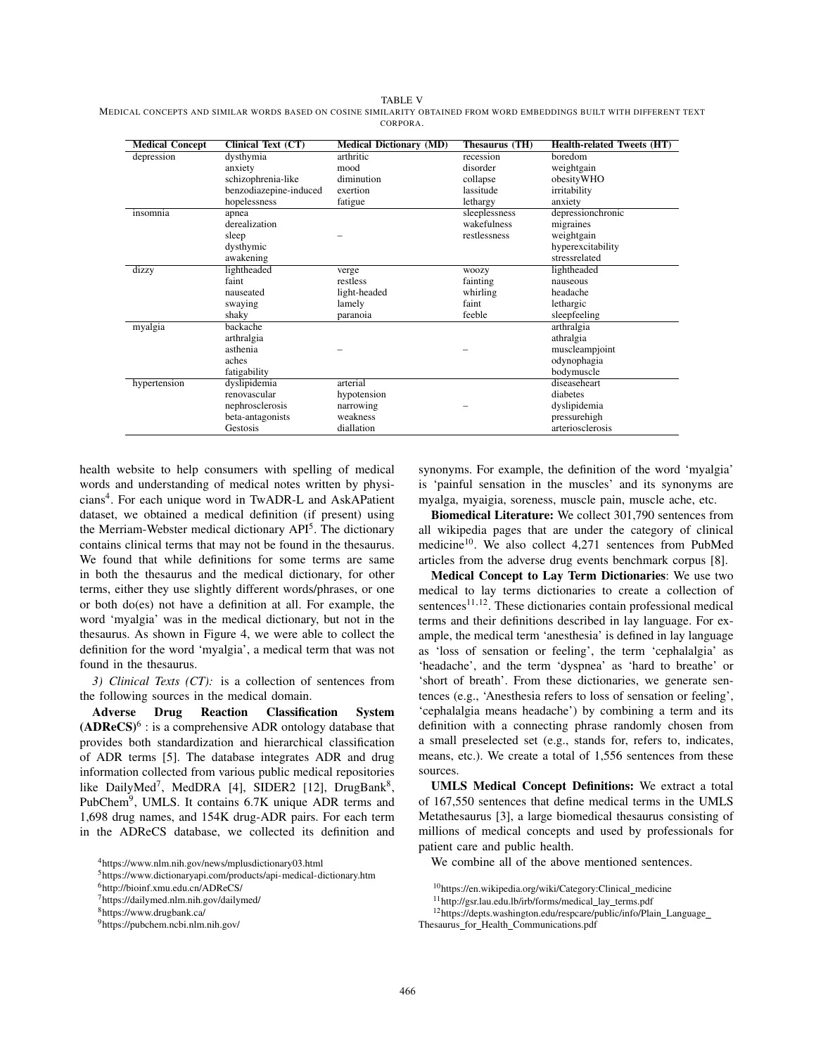TABLE V MEDICAL CONCEPTS AND SIMILAR WORDS BASED ON COSINE SIMILARITY OBTAINED FROM WORD EMBEDDINGS BUILT WITH DIFFERENT TEXT CORPORA.

| <b>Medical Concept</b> | <b>Clinical Text (CT)</b> | <b>Medical Dictionary (MD)</b> | Thesaurus (TH) | <b>Health-related Tweets (HT)</b> |
|------------------------|---------------------------|--------------------------------|----------------|-----------------------------------|
| depression             | dysthymia                 | arthritic                      | recession      | boredom                           |
|                        | anxiety                   | mood                           | disorder       | weightgain                        |
|                        | schizophrenia-like        | diminution                     | collapse       | obesityWHO                        |
|                        | benzodiazepine-induced    | exertion                       | lassitude      | irritability                      |
|                        | hopelessness              | fatigue                        | lethargy       | anxiety                           |
| insomnia               | apnea                     |                                | sleeplessness  | depressionchronic                 |
|                        | derealization             |                                | wakefulness    | migraines                         |
|                        | sleep                     |                                | restlessness   | weightgain                        |
|                        | dysthymic                 |                                |                | hyperexcitability                 |
|                        | awakening                 |                                |                | stressrelated                     |
| dizzy                  | lightheaded               | verge                          | <b>WOOZY</b>   | lightheaded                       |
|                        | faint                     | restless                       | fainting       | nauseous                          |
|                        | nauseated                 | light-headed                   | whirling       | headache                          |
|                        | swaying                   | lamely                         | faint          | lethargic                         |
|                        | shaky                     | paranoia                       | feeble         | sleepfeeling                      |
| myalgia                | backache                  |                                |                | arthralgia                        |
|                        | arthralgia                |                                |                | athralgia                         |
|                        | asthenia                  |                                |                | muscleampjoint                    |
|                        | aches                     |                                |                | odynophagia                       |
|                        | fatigability              |                                |                | bodymuscle                        |
| hypertension           | dyslipidemia              | arterial                       |                | diseaseheart                      |
|                        | renovascular              | hypotension                    |                | diabetes                          |
|                        | nephrosclerosis           | narrowing                      |                | dyslipidemia                      |
|                        | beta-antagonists          | weakness                       |                | pressurehigh                      |
|                        | Gestosis                  | diallation                     |                | arteriosclerosis                  |

health website to help consumers with spelling of medical words and understanding of medical notes written by physicians4. For each unique word in TwADR-L and AskAPatient dataset, we obtained a medical definition (if present) using the Merriam-Webster medical dictionary API5. The dictionary contains clinical terms that may not be found in the thesaurus. We found that while definitions for some terms are same in both the thesaurus and the medical dictionary, for other terms, either they use slightly different words/phrases, or one or both do(es) not have a definition at all. For example, the word 'myalgia' was in the medical dictionary, but not in the thesaurus. As shown in Figure 4, we were able to collect the definition for the word 'myalgia', a medical term that was not found in the thesaurus.

*3) Clinical Texts (CT):* is a collection of sentences from the following sources in the medical domain.

Adverse Drug Reaction Classification System  $(ADRecS)^6$ : is a comprehensive ADR ontology database that provides both standardization and hierarchical classification of ADR terms [5]. The database integrates ADR and drug information collected from various public medical repositories like DailyMed<sup>7</sup>, MedDRA [4], SIDER2 [12], DrugBank<sup>8</sup>, PubChem9, UMLS. It contains 6.7K unique ADR terms and 1,698 drug names, and 154K drug-ADR pairs. For each term in the ADReCS database, we collected its definition and

5https://www.dictionaryapi.com/products/api-medical-dictionary.htm

synonyms. For example, the definition of the word 'myalgia' is 'painful sensation in the muscles' and its synonyms are myalga, myaigia, soreness, muscle pain, muscle ache, etc.

Biomedical Literature: We collect 301,790 sentences from all wikipedia pages that are under the category of clinical medicine<sup>10</sup>. We also collect 4,271 sentences from PubMed articles from the adverse drug events benchmark corpus [8].

Medical Concept to Lay Term Dictionaries: We use two medical to lay terms dictionaries to create a collection of sentences $11,12$ . These dictionaries contain professional medical terms and their definitions described in lay language. For example, the medical term 'anesthesia' is defined in lay language as 'loss of sensation or feeling', the term 'cephalalgia' as 'headache', and the term 'dyspnea' as 'hard to breathe' or 'short of breath'. From these dictionaries, we generate sentences (e.g., 'Anesthesia refers to loss of sensation or feeling', 'cephalalgia means headache') by combining a term and its definition with a connecting phrase randomly chosen from a small preselected set (e.g., stands for, refers to, indicates, means, etc.). We create a total of 1,556 sentences from these sources.

UMLS Medical Concept Definitions: We extract a total of 167,550 sentences that define medical terms in the UMLS Metathesaurus [3], a large biomedical thesaurus consisting of millions of medical concepts and used by professionals for patient care and public health.

We combine all of the above mentioned sentences.

- <sup>10</sup>https://en.wikipedia.org/wiki/Category:Clinical\_medicine
- <sup>11</sup>http://gsr.lau.edu.lb/irb/forms/medical\_lay\_terms.pdf
- 12https://depts.washington.edu/respcare/public/info/Plain Language
- Thesaurus\_for\_Health\_Communications.pdf

<sup>4</sup>https://www.nlm.nih.gov/news/mplusdictionary03.html

<sup>6</sup>http://bioinf.xmu.edu.cn/ADReCS/ 7https://dailymed.nlm.nih.gov/dailymed/

<sup>8</sup>https://www.drugbank.ca/

<sup>9</sup>https://pubchem.ncbi.nlm.nih.gov/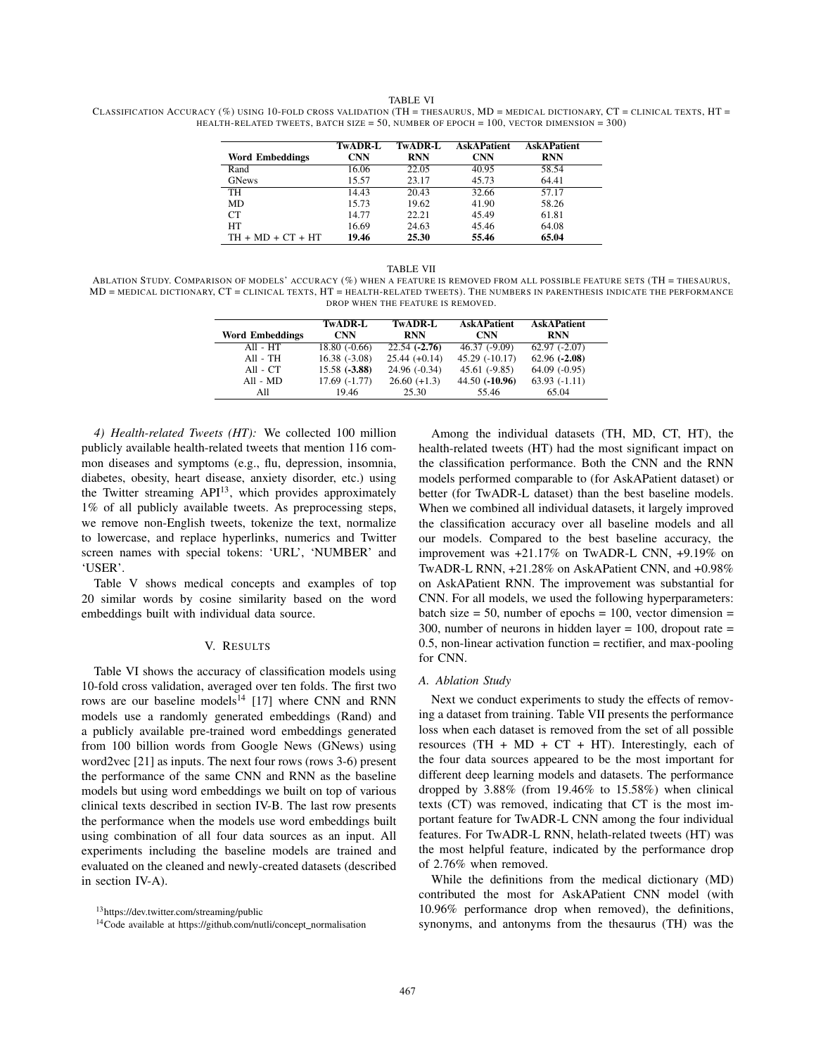TABLE VI

CLASSIFICATION ACCURACY (%) USING 10-FOLD CROSS VALIDATION (TH = THESAURUS, MD = MEDICAL DICTIONARY, CT = CLINICAL TEXTS, HT = HEALTH-RELATED TWEETS, BATCH SIZE = 50, NUMBER OF EPOCH = 100, VECTOR DIMENSION = 300)

| <b>Word Embeddings</b> | <b>TwADR-L</b><br><b>CNN</b> | TwADR-L<br><b>RNN</b> | <b>AskAPatient</b><br><b>CNN</b> | <b>AskAPatient</b><br><b>RNN</b> |
|------------------------|------------------------------|-----------------------|----------------------------------|----------------------------------|
| Rand                   | 16.06                        | 22.05                 | 40.95                            | 58.54                            |
| GNews                  | 15.57                        | 23.17                 | 45.73                            | 64.41                            |
| TH                     | 14.43                        | 20.43                 | 32.66                            | 57.17                            |
| <b>MD</b>              | 15.73                        | 19.62                 | 41.90                            | 58.26                            |
| <b>CT</b>              | 14.77                        | 22.21                 | 45.49                            | 61.81                            |
| HT                     | 16.69                        | 24.63                 | 45.46                            | 64.08                            |
| $TH + MD + CT + HT$    | 19.46                        | 25.30                 | 55.46                            | 65.04                            |

| <b>TABLE VII</b> |  |  |  |  |
|------------------|--|--|--|--|
|------------------|--|--|--|--|

ABLATION STUDY. COMPARISON OF MODELS' ACCURACY (%) WHEN A FEATURE IS REMOVED FROM ALL POSSIBLE FEATURE SETS (TH = THESAURUS, MD = MEDICAL DICTIONARY, CT = CLINICAL TEXTS, HT = HEALTH-RELATED TWEETS). THE NUMBERS IN PARENTHESIS INDICATE THE PERFORMANCE DROP WHEN THE FEATURE IS REMOVED.

| <b>Word Embeddings</b> | <b>TwADR-L</b><br><b>CNN</b> | <b>TwADR-L</b><br><b>RNN</b> | <b>AskAPatient</b><br><b>CNN</b> | <b>AskAPatient</b><br><b>RNN</b> |
|------------------------|------------------------------|------------------------------|----------------------------------|----------------------------------|
| $All - HT$             | $18.80(-0.66)$               | $22.54$ $(-2.76)$            | $46.37$ ( $-9.09$ )              | $62.97(-2.07)$                   |
| $All - TH$             | $16.38(-3.08)$               | $25.44 (+0.14)$              | $45.29$ $(-10.17)$               | $62.96(-2.08)$                   |
| $All - CT$             | $15.58$ $(-3.88)$            | 24.96 (-0.34)                | $45.61(-9.85)$                   | $64.09(-0.95)$                   |
| $All - MD$             | 17.69 (-1.77)                | $26.60 (+1.3)$               | 44.50 (-10.96)                   | $63.93(-1.11)$                   |
| A11                    | 19.46                        | 25.30                        | 55.46                            | 65.04                            |

*4) Health-related Tweets (HT):* We collected 100 million publicly available health-related tweets that mention 116 common diseases and symptoms (e.g., flu, depression, insomnia, diabetes, obesity, heart disease, anxiety disorder, etc.) using the Twitter streaming API<sup>13</sup>, which provides approximately 1% of all publicly available tweets. As preprocessing steps, we remove non-English tweets, tokenize the text, normalize to lowercase, and replace hyperlinks, numerics and Twitter screen names with special tokens: 'URL', 'NUMBER' and 'USER'.

Table V shows medical concepts and examples of top 20 similar words by cosine similarity based on the word embeddings built with individual data source.

#### V. RESULTS

Table VI shows the accuracy of classification models using 10-fold cross validation, averaged over ten folds. The first two rows are our baseline models<sup>14</sup> [17] where CNN and RNN models use a randomly generated embeddings (Rand) and a publicly available pre-trained word embeddings generated from 100 billion words from Google News (GNews) using word2vec [21] as inputs. The next four rows (rows 3-6) present the performance of the same CNN and RNN as the baseline models but using word embeddings we built on top of various clinical texts described in section IV-B. The last row presents the performance when the models use word embeddings built using combination of all four data sources as an input. All experiments including the baseline models are trained and evaluated on the cleaned and newly-created datasets (described in section IV-A).

Among the individual datasets (TH, MD, CT, HT), the health-related tweets (HT) had the most significant impact on the classification performance. Both the CNN and the RNN models performed comparable to (for AskAPatient dataset) or better (for TwADR-L dataset) than the best baseline models. When we combined all individual datasets, it largely improved the classification accuracy over all baseline models and all our models. Compared to the best baseline accuracy, the improvement was +21.17% on TwADR-L CNN, +9.19% on TwADR-L RNN, +21.28% on AskAPatient CNN, and +0.98% on AskAPatient RNN. The improvement was substantial for CNN. For all models, we used the following hyperparameters: batch size  $= 50$ , number of epochs  $= 100$ , vector dimension  $=$ 300, number of neurons in hidden layer  $= 100$ , dropout rate  $=$ 0.5, non-linear activation function = rectifier, and max-pooling for CNN.

#### *A. Ablation Study*

Next we conduct experiments to study the effects of removing a dataset from training. Table VII presents the performance loss when each dataset is removed from the set of all possible resources (TH +  $MD$  +  $CT$  + HT). Interestingly, each of the four data sources appeared to be the most important for different deep learning models and datasets. The performance dropped by  $3.88\%$  (from  $19.46\%$  to  $15.58\%$ ) when clinical texts (CT) was removed, indicating that CT is the most important feature for TwADR-L CNN among the four individual features. For TwADR-L RNN, helath-related tweets (HT) was the most helpful feature, indicated by the performance drop of 2.76% when removed.

While the definitions from the medical dictionary (MD) contributed the most for AskAPatient CNN model (with 10.96% performance drop when removed), the definitions, synonyms, and antonyms from the thesaurus (TH) was the

<sup>13</sup>https://dev.twitter.com/streaming/public

<sup>&</sup>lt;sup>14</sup>Code available at https://github.com/nutli/concept\_normalisation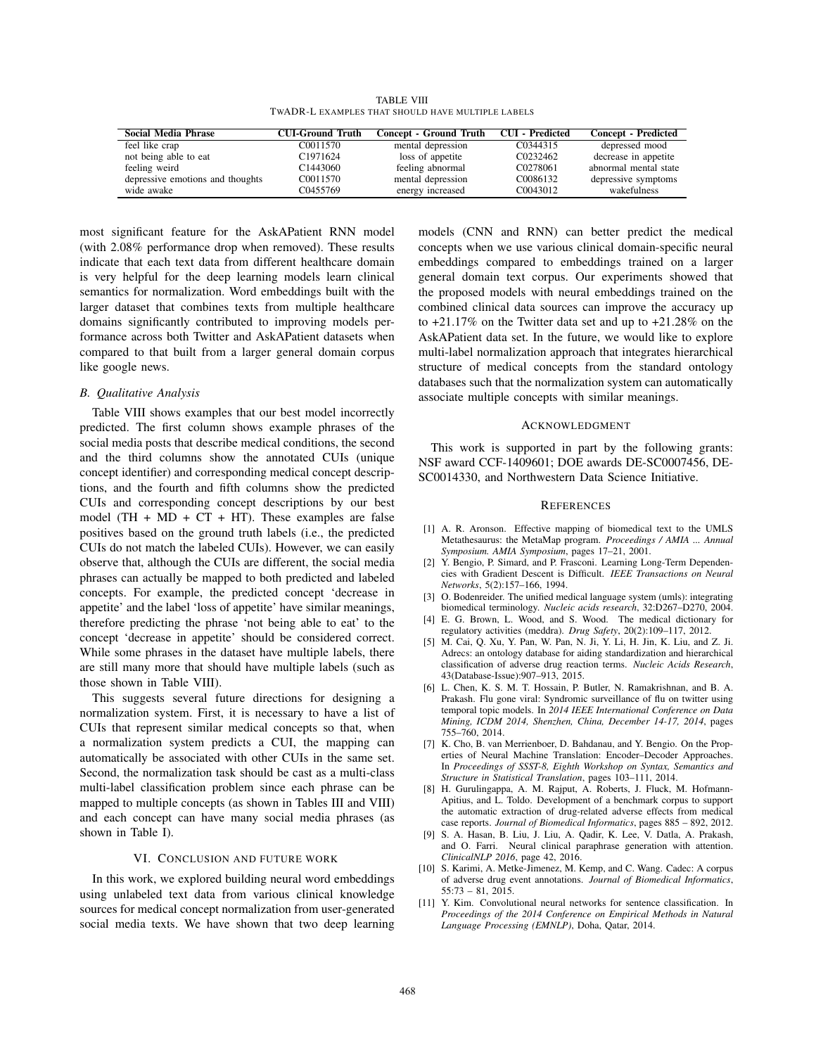TABLE VIII TWADR-L EXAMPLES THAT SHOULD HAVE MULTIPLE LABELS

| <b>Social Media Phrase</b>       | <b>CUI-Ground Truth</b> | Concept - Ground Truth | <b>CUI</b> - Predicted | <b>Concept - Predicted</b> |
|----------------------------------|-------------------------|------------------------|------------------------|----------------------------|
| feel like crap                   | C <sub>0011570</sub>    | mental depression      | C <sub>0</sub> 344315  | depressed mood             |
| not being able to eat            | C <sub>1971624</sub>    | loss of appetite       | C <sub>0232462</sub>   | decrease in appetite       |
| feeling weird                    | C <sub>1443</sub> 060   | feeling abnormal       | C0278061               | abnormal mental state      |
| depressive emotions and thoughts | C0011570                | mental depression      | C0086132               | depressive symptoms        |
| wide awake                       | C <sub>0455769</sub>    | energy increased       | C0043012               | wakefulness                |

most significant feature for the AskAPatient RNN model (with 2.08% performance drop when removed). These results indicate that each text data from different healthcare domain is very helpful for the deep learning models learn clinical semantics for normalization. Word embeddings built with the larger dataset that combines texts from multiple healthcare domains significantly contributed to improving models performance across both Twitter and AskAPatient datasets when compared to that built from a larger general domain corpus like google news.

## *B. Qualitative Analysis*

Table VIII shows examples that our best model incorrectly predicted. The first column shows example phrases of the social media posts that describe medical conditions, the second and the third columns show the annotated CUIs (unique concept identifier) and corresponding medical concept descriptions, and the fourth and fifth columns show the predicted CUIs and corresponding concept descriptions by our best model (TH +  $MD$  +  $CT$  +  $HT$ ). These examples are false positives based on the ground truth labels (i.e., the predicted CUIs do not match the labeled CUIs). However, we can easily observe that, although the CUIs are different, the social media phrases can actually be mapped to both predicted and labeled concepts. For example, the predicted concept 'decrease in appetite' and the label 'loss of appetite' have similar meanings, therefore predicting the phrase 'not being able to eat' to the concept 'decrease in appetite' should be considered correct. While some phrases in the dataset have multiple labels, there are still many more that should have multiple labels (such as those shown in Table VIII).

This suggests several future directions for designing a normalization system. First, it is necessary to have a list of CUIs that represent similar medical concepts so that, when a normalization system predicts a CUI, the mapping can automatically be associated with other CUIs in the same set. Second, the normalization task should be cast as a multi-class multi-label classification problem since each phrase can be mapped to multiple concepts (as shown in Tables III and VIII) and each concept can have many social media phrases (as shown in Table I).

## VI. CONCLUSION AND FUTURE WORK

In this work, we explored building neural word embeddings using unlabeled text data from various clinical knowledge sources for medical concept normalization from user-generated social media texts. We have shown that two deep learning

models (CNN and RNN) can better predict the medical concepts when we use various clinical domain-specific neural embeddings compared to embeddings trained on a larger general domain text corpus. Our experiments showed that the proposed models with neural embeddings trained on the combined clinical data sources can improve the accuracy up to +21.17% on the Twitter data set and up to +21.28% on the AskAPatient data set. In the future, we would like to explore multi-label normalization approach that integrates hierarchical structure of medical concepts from the standard ontology databases such that the normalization system can automatically associate multiple concepts with similar meanings.

## ACKNOWLEDGMENT

This work is supported in part by the following grants: NSF award CCF-1409601; DOE awards DE-SC0007456, DE-SC0014330, and Northwestern Data Science Initiative.

#### **REFERENCES**

- [1] A. R. Aronson. Effective mapping of biomedical text to the UMLS Metathesaurus: the MetaMap program. *Proceedings / AMIA ... Annual Symposium. AMIA Symposium*, pages 17–21, 2001.
- [2] Y. Bengio, P. Simard, and P. Frasconi. Learning Long-Term Dependencies with Gradient Descent is Difficult. *IEEE Transactions on Neural Networks*, 5(2):157–166, 1994.
- [3] O. Bodenreider. The unified medical language system (umls): integrating biomedical terminology. *Nucleic acids research*, 32:D267–D270, 2004.
- [4] E. G. Brown, L. Wood, and S. Wood. The medical dictionary for regulatory activities (meddra). *Drug Safety*, 20(2):109–117, 2012.
- [5] M. Cai, Q. Xu, Y. Pan, W. Pan, N. Ji, Y. Li, H. Jin, K. Liu, and Z. Ji. Adrecs: an ontology database for aiding standardization and hierarchical classification of adverse drug reaction terms. *Nucleic Acids Research*, 43(Database-Issue):907–913, 2015.
- [6] L. Chen, K. S. M. T. Hossain, P. Butler, N. Ramakrishnan, and B. A. Prakash. Flu gone viral: Syndromic surveillance of flu on twitter using temporal topic models. In *2014 IEEE International Conference on Data Mining, ICDM 2014, Shenzhen, China, December 14-17, 2014*, pages 755–760, 2014.
- [7] K. Cho, B. van Merrienboer, D. Bahdanau, and Y. Bengio. On the Properties of Neural Machine Translation: Encoder–Decoder Approaches. In *Proceedings of SSST-8, Eighth Workshop on Syntax, Semantics and Structure in Statistical Translation*, pages 103–111, 2014.
- [8] H. Gurulingappa, A. M. Rajput, A. Roberts, J. Fluck, M. Hofmann-Apitius, and L. Toldo. Development of a benchmark corpus to support the automatic extraction of drug-related adverse effects from medical case reports. *Journal of Biomedical Informatics*, pages 885 – 892, 2012.
- [9] S. A. Hasan, B. Liu, J. Liu, A. Qadir, K. Lee, V. Datla, A. Prakash, and O. Farri. Neural clinical paraphrase generation with attention. *ClinicalNLP 2016*, page 42, 2016.
- [10] S. Karimi, A. Metke-Jimenez, M. Kemp, and C. Wang. Cadec: A corpus of adverse drug event annotations. *Journal of Biomedical Informatics*,  $55.73 - 81, 2015$
- [11] Y. Kim. Convolutional neural networks for sentence classification. In *Proceedings of the 2014 Conference on Empirical Methods in Natural Language Processing (EMNLP)*, Doha, Qatar, 2014.